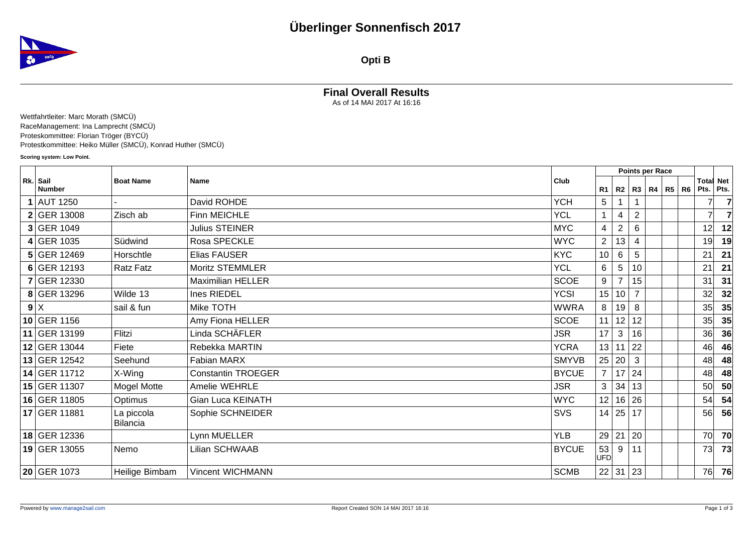

**Opti B**

## **Final Overall Results**

As of 14 MAI 2017 At 16:16

Wettfahrtleiter: Marc Morath (SMCÜ) RaceManagement: Ina Lamprecht (SMCÜ) Proteskommittee: Florian Tröger (BYCÜ) Protestkommittee: Heiko Müller (SMCÜ), Konrad Huther (SMCÜ)

**Scoring system: Low Point.**

|                           |                               |                           |              |                         | Points per Race      |                |  |                   |  |                               |           |
|---------------------------|-------------------------------|---------------------------|--------------|-------------------------|----------------------|----------------|--|-------------------|--|-------------------------------|-----------|
| Rk. Sail<br><b>Number</b> | <b>Boat Name</b>              | Name                      | Club         | R1                      | R2                   |                |  | R3   R4   R5   R6 |  | <b>Total Net</b><br>Pts. Pts. |           |
| 1 AUT 1250                |                               | David ROHDE               | <b>YCH</b>   | 5                       |                      |                |  |                   |  |                               |           |
| $2$ GER 13008             | Zisch ab                      | Finn MEICHLE              | <b>YCL</b>   | $\mathbf{1}$            | 4                    | $\overline{2}$ |  |                   |  | $\overline{7}$                |           |
| 3 GER 1049                |                               | <b>Julius STEINER</b>     | <b>MYC</b>   | $\overline{\mathbf{4}}$ | 2                    | 6              |  |                   |  | 12                            | 12        |
| $4$ GER 1035              | Südwind                       | Rosa SPECKLE              | <b>WYC</b>   | $\overline{2}$          | 13                   | 4              |  |                   |  | 19                            | 19        |
| $5$ GER 12469             | Horschtle                     | Elias FAUSER              | <b>KYC</b>   | 10                      | 6                    | 5              |  |                   |  | 21                            | 21        |
| 6 GER 12193               | <b>Ratz Fatz</b>              | Moritz STEMMLER           | <b>YCL</b>   | 6                       | 5                    | 10             |  |                   |  | 21                            | 21        |
| 7 GER 12330               |                               | <b>Maximilian HELLER</b>  | <b>SCOE</b>  | $\boldsymbol{9}$        |                      | 15             |  |                   |  | 31                            | 31        |
| 8 GER 13296               | Wilde 13                      | Ines RIEDEL               | <b>YCSI</b>  | 15                      | 10                   | $\overline{7}$ |  |                   |  | 32                            | 32        |
| 9 X                       | sail & fun                    | Mike TOTH                 | <b>WWRA</b>  | 8                       | 19                   | 8              |  |                   |  | 35                            | 35        |
| 10 GER 1156               |                               | Amy Fiona HELLER          | <b>SCOE</b>  | 11                      | 12                   | 12             |  |                   |  | 35                            | 35        |
| 11 GER 13199              | Flitzi                        | Linda SCHÄFLER            | <b>JSR</b>   | 17                      | 3                    | 16             |  |                   |  | 36                            | 36        |
| 12 GER 13044              | Fiete                         | Rebekka MARTIN            | <b>YCRA</b>  | 13                      | 11                   | 22             |  |                   |  | 46                            | 46        |
| 13 GER 12542              | Seehund                       | Fabian MARX               | <b>SMYVB</b> | 25                      | 20                   | 3              |  |                   |  | 48                            | 48        |
| 14 GER 11712              | X-Wing                        | <b>Constantin TROEGER</b> | <b>BYCUE</b> | $\overline{7}$          |                      | 17 24          |  |                   |  | 48                            | 48        |
| 15 GER 11307              | Mogel Motte                   | Amelie WEHRLE             | <b>JSR</b>   | 3                       | 34                   | 13             |  |                   |  | 50 <sup>2</sup>               | 50        |
| 16 GER 11805              | Optimus                       | Gian Luca KEINATH         | <b>WYC</b>   | 12                      | 16                   | 26             |  |                   |  | 54                            | 54        |
| 17 GER 11881              | La piccola<br><b>Bilancia</b> | Sophie SCHNEIDER          | <b>SVS</b>   |                         | 14 25 17             |                |  |                   |  | 56                            | 56        |
| 18 GER 12336              |                               | Lynn MUELLER              | <b>YLB</b>   | 29                      | 21                   | 20             |  |                   |  | 70                            | 70        |
| 19 GER 13055              | Nemo                          | Lilian SCHWAAB            | <b>BYCUE</b> | 53<br>UFD               | 9                    | 11             |  |                   |  | 73                            | 73        |
| 20 GER 1073               | Heilige Bimbam                | Vincent WICHMANN          | <b>SCMB</b>  |                         | $22 \mid 31 \mid 23$ |                |  |                   |  | 76                            | <b>76</b> |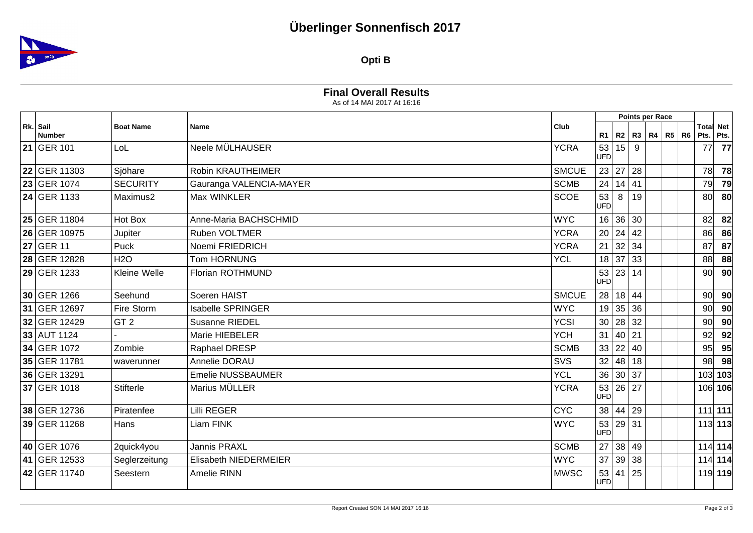## **Überlinger Sonnenfisch 2017**



**Opti B**

| <b>Final Overall Results</b> |  |
|------------------------------|--|
| As of 14 MAI 2017 At 16:16   |  |

|                           |                  |                          |              |                  |    | Points per Race |              |    |                               |                 |
|---------------------------|------------------|--------------------------|--------------|------------------|----|-----------------|--------------|----|-------------------------------|-----------------|
| Rk. Sail<br><b>Number</b> | <b>Boat Name</b> | Name                     | Club         | R <sub>1</sub>   | R2 |                 | R3   R4   R5 | R6 | <b>Total Net</b><br>Pts. Pts. |                 |
| 21 GER 101                | LoL              | Neele MÜLHAUSER          | <b>YCRA</b>  | 53<br><b>UFD</b> | 15 | 9               |              |    | 77                            | 77              |
| 22 GER 11303              | Sjöhare          | <b>Robin KRAUTHEIMER</b> | <b>SMCUE</b> | 23               | 27 | 28              |              |    | 78                            | 78              |
| 23 GER 1074               | <b>SECURITY</b>  | Gauranga VALENCIA-MAYER  | <b>SCMB</b>  | 24               |    | 14 41           |              |    | 79                            | 79              |
| 24 GER 1133               | Maximus2         | Max WINKLER              | <b>SCOE</b>  | 53<br>UFD        | 8  | 19              |              |    | 80                            | 80              |
| 25 GER 11804              | Hot Box          | Anne-Maria BACHSCHMID    | <b>WYC</b>   | 16               | 36 | 30              |              |    | 82                            | 82              |
| 26 GER 10975              | Jupiter          | <b>Ruben VOLTMER</b>     | <b>YCRA</b>  | 20               |    | 24 42           |              |    | 86                            | 86              |
| 27 GER 11                 | Puck             | Noemi FRIEDRICH          | <b>YCRA</b>  | 21               | 32 | 34              |              |    | 87                            | 87              |
| 28 GER 12828              | <b>H2O</b>       | <b>Tom HORNUNG</b>       | <b>YCL</b>   | 18               |    | 37 33           |              |    | 88                            | 88              |
| 29 GER 1233               | Kleine Welle     | Florian ROTHMUND         |              | 53<br><b>UFD</b> | 23 | 14              |              |    | 90 <sup>°</sup>               | 90              |
| 30 GER 1266               | Seehund          | Soeren HAIST             | <b>SMCUE</b> | 28               |    | 18 44           |              |    | 90 <sup>°</sup>               | 90 <sup>°</sup> |
| 31 GER 12697              | Fire Storm       | <b>Isabelle SPRINGER</b> | <b>WYC</b>   | 19               | 35 | 36              |              |    | 90                            | 90              |
| 32 GER 12429              | GT <sub>2</sub>  | <b>Susanne RIEDEL</b>    | <b>YCSI</b>  | 30               | 28 | 32              |              |    | 90                            | 90              |
| 33 AUT 1124               |                  | Marie HIEBELER           | <b>YCH</b>   | 31               | 40 | 21              |              |    | 92                            | 92              |
| 34 GER 1072               | Zombie           | Raphael DRESP            | <b>SCMB</b>  | 33               | 22 | 40              |              |    | 95                            | 95              |
| 35 GER 11781              | waverunner       | Annelie DORAU            | SVS          | 32               | 48 | 18              |              |    | 98                            | 98              |
| 36 GER 13291              |                  | <b>Emelie NUSSBAUMER</b> | <b>YCL</b>   | 36               |    | 30 37           |              |    | 103 103                       |                 |
| 37 GER 1018               | <b>Stifterle</b> | Marius MÜLLER            | <b>YCRA</b>  | 53<br><b>UFD</b> |    | 26 27           |              |    | 106 106                       |                 |
| 38 GER 12736              | Piratenfee       | <b>Lilli REGER</b>       | <b>CYC</b>   | 38               |    | 44 29           |              |    | $111$ 111                     |                 |
| 39 GER 11268              | Hans             | Liam FINK                | <b>WYC</b>   | 53<br><b>UFD</b> |    | 29 31           |              |    | $113$ 113                     |                 |
| 40 GER 1076               | 2quick4you       | <b>Jannis PRAXL</b>      | <b>SCMB</b>  | 27               |    | 38 49           |              |    | $114$ 114                     |                 |
| 41 GER 12533              | Seglerzeitung    | Elisabeth NIEDERMEIER    | <b>WYC</b>   | 37               | 39 | 38              |              |    | 114 114                       |                 |
| 42 GER 11740              | Seestern         | Amelie RINN              | <b>MWSC</b>  | 53<br><b>UFD</b> |    | 41 25           |              |    | 119 119                       |                 |